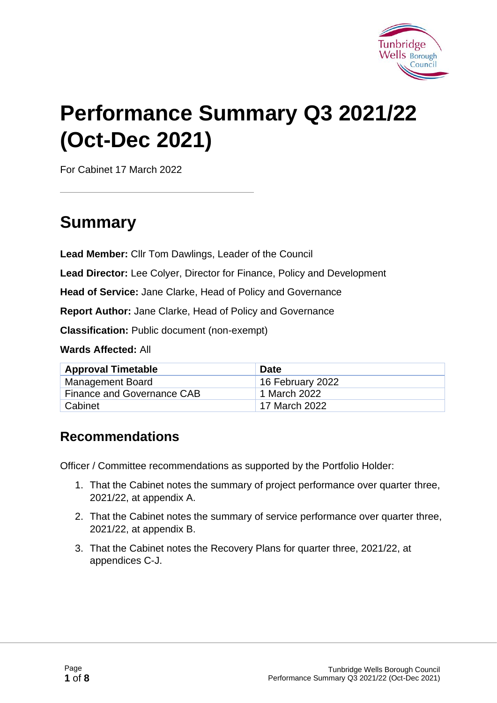

# **Performance Summary Q3 2021/22 (Oct-Dec 2021)**

For Cabinet 17 March 2022

### **Summary**

**Lead Member:** Cllr Tom Dawlings, Leader of the Council

**Lead Director:** Lee Colyer, Director for Finance, Policy and Development

**Head of Service:** Jane Clarke, Head of Policy and Governance

**Report Author:** Jane Clarke, Head of Policy and Governance

**Classification:** Public document (non-exempt)

**Wards Affected:** All

| <b>Approval Timetable</b>  | <b>Date</b>      |
|----------------------------|------------------|
| <b>Management Board</b>    | 16 February 2022 |
| Finance and Governance CAB | 1 March 2022     |
| <sup>1</sup> Cabinet       | 17 March 2022    |

#### **Recommendations**

Officer / Committee recommendations as supported by the Portfolio Holder:

- 1. That the Cabinet notes the summary of project performance over quarter three, 2021/22, at appendix A.
- 2. That the Cabinet notes the summary of service performance over quarter three, 2021/22, at appendix B.
- 3. That the Cabinet notes the Recovery Plans for quarter three, 2021/22, at appendices C-J.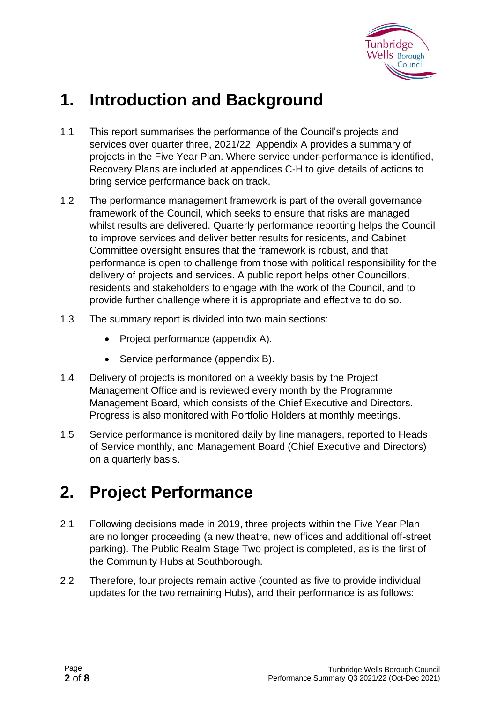

### **1. Introduction and Background**

- 1.1 This report summarises the performance of the Council's projects and services over quarter three, 2021/22. Appendix A provides a summary of projects in the Five Year Plan. Where service under-performance is identified, Recovery Plans are included at appendices C-H to give details of actions to bring service performance back on track.
- 1.2 The performance management framework is part of the overall governance framework of the Council, which seeks to ensure that risks are managed whilst results are delivered. Quarterly performance reporting helps the Council to improve services and deliver better results for residents, and Cabinet Committee oversight ensures that the framework is robust, and that performance is open to challenge from those with political responsibility for the delivery of projects and services. A public report helps other Councillors, residents and stakeholders to engage with the work of the Council, and to provide further challenge where it is appropriate and effective to do so.
- 1.3 The summary report is divided into two main sections:
	- Project performance (appendix A).
	- Service performance (appendix B).
- 1.4 Delivery of projects is monitored on a weekly basis by the Project Management Office and is reviewed every month by the Programme Management Board, which consists of the Chief Executive and Directors. Progress is also monitored with Portfolio Holders at monthly meetings.
- 1.5 Service performance is monitored daily by line managers, reported to Heads of Service monthly, and Management Board (Chief Executive and Directors) on a quarterly basis.

### **2. Project Performance**

- 2.1 Following decisions made in 2019, three projects within the Five Year Plan are no longer proceeding (a new theatre, new offices and additional off-street parking). The Public Realm Stage Two project is completed, as is the first of the Community Hubs at Southborough.
- 2.2 Therefore, four projects remain active (counted as five to provide individual updates for the two remaining Hubs), and their performance is as follows: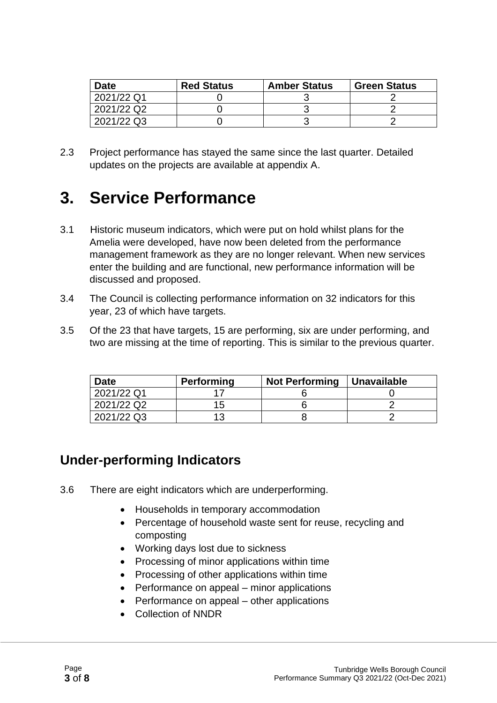| <b>Date</b> | <b>Red Status</b> | <b>Amber Status</b> | <b>Green Status</b> |
|-------------|-------------------|---------------------|---------------------|
| 2021/22 Q1  |                   |                     |                     |
| 2021/22 Q2  |                   |                     |                     |
| 2021/22 Q3  |                   |                     |                     |

2.3 Project performance has stayed the same since the last quarter. Detailed updates on the projects are available at appendix A.

### **3. Service Performance**

- 3.1 Historic museum indicators, which were put on hold whilst plans for the Amelia were developed, have now been deleted from the performance management framework as they are no longer relevant. When new services enter the building and are functional, new performance information will be discussed and proposed.
- 3.4 The Council is collecting performance information on 32 indicators for this year, 23 of which have targets.
- 3.5 Of the 23 that have targets, 15 are performing, six are under performing, and two are missing at the time of reporting. This is similar to the previous quarter.

| <b>Date</b> | <b>Performing</b> | <b>Not Performing</b> | Unavailable |
|-------------|-------------------|-----------------------|-------------|
| 2021/22 Q1  |                   |                       |             |
| 2021/22 Q2  | 15.               |                       |             |
| 2021/22 Q3  | 1 2               |                       |             |

#### **Under-performing Indicators**

- 3.6 There are eight indicators which are underperforming.
	- Households in temporary accommodation
	- Percentage of household waste sent for reuse, recycling and composting
	- Working days lost due to sickness
	- Processing of minor applications within time
	- Processing of other applications within time
	- Performance on appeal minor applications
	- Performance on appeal other applications
	- Collection of NNDR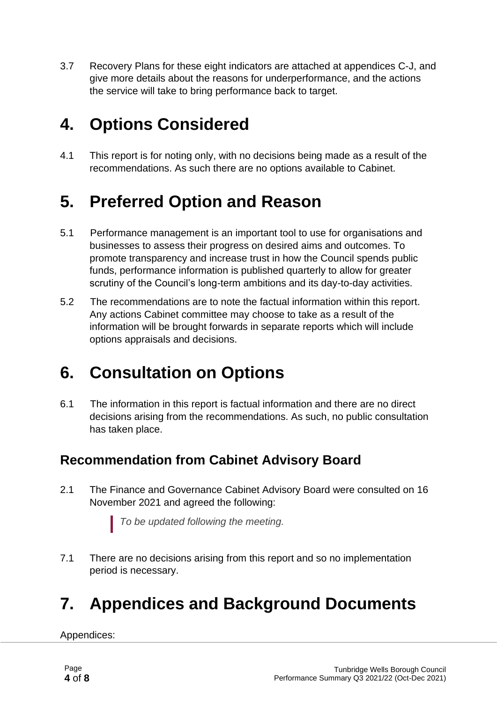3.7 Recovery Plans for these eight indicators are attached at appendices C-J, and give more details about the reasons for underperformance, and the actions the service will take to bring performance back to target.

### **4. Options Considered**

4.1 This report is for noting only, with no decisions being made as a result of the recommendations. As such there are no options available to Cabinet.

### **5. Preferred Option and Reason**

- 5.1 Performance management is an important tool to use for organisations and businesses to assess their progress on desired aims and outcomes. To promote transparency and increase trust in how the Council spends public funds, performance information is published quarterly to allow for greater scrutiny of the Council's long-term ambitions and its day-to-day activities.
- 5.2 The recommendations are to note the factual information within this report. Any actions Cabinet committee may choose to take as a result of the information will be brought forwards in separate reports which will include options appraisals and decisions.

### **6. Consultation on Options**

6.1 The information in this report is factual information and there are no direct decisions arising from the recommendations. As such, no public consultation has taken place.

#### **Recommendation from Cabinet Advisory Board**

2.1 The Finance and Governance Cabinet Advisory Board were consulted on 16 November 2021 and agreed the following:

*To be updated following the meeting.*

7.1 There are no decisions arising from this report and so no implementation period is necessary.

## **7. Appendices and Background Documents**

Appendices: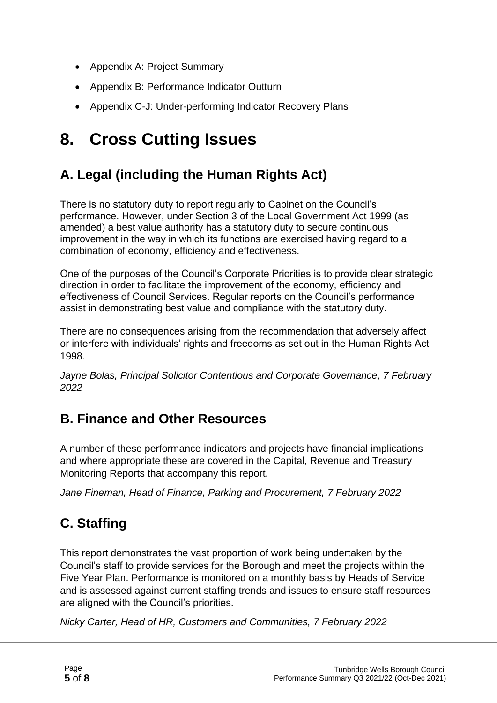- Appendix A: Project Summary
- Appendix B: Performance Indicator Outturn
- Appendix C-J: Under-performing Indicator Recovery Plans

### **8. Cross Cutting Issues**

#### **A. Legal (including the Human Rights Act)**

There is no statutory duty to report regularly to Cabinet on the Council's performance. However, under Section 3 of the Local Government Act 1999 (as amended) a best value authority has a statutory duty to secure continuous improvement in the way in which its functions are exercised having regard to a combination of economy, efficiency and effectiveness.

One of the purposes of the Council's Corporate Priorities is to provide clear strategic direction in order to facilitate the improvement of the economy, efficiency and effectiveness of Council Services. Regular reports on the Council's performance assist in demonstrating best value and compliance with the statutory duty.

There are no consequences arising from the recommendation that adversely affect or interfere with individuals' rights and freedoms as set out in the Human Rights Act 1998.

*Jayne Bolas, Principal Solicitor Contentious and Corporate Governance, 7 February 2022*

#### **B. Finance and Other Resources**

A number of these performance indicators and projects have financial implications and where appropriate these are covered in the Capital, Revenue and Treasury Monitoring Reports that accompany this report.

*Jane Fineman, Head of Finance, Parking and Procurement, 7 February 2022*

### **C. Staffing**

This report demonstrates the vast proportion of work being undertaken by the Council's staff to provide services for the Borough and meet the projects within the Five Year Plan. Performance is monitored on a monthly basis by Heads of Service and is assessed against current staffing trends and issues to ensure staff resources are aligned with the Council's priorities.

*Nicky Carter, Head of HR, Customers and Communities, 7 February 2022*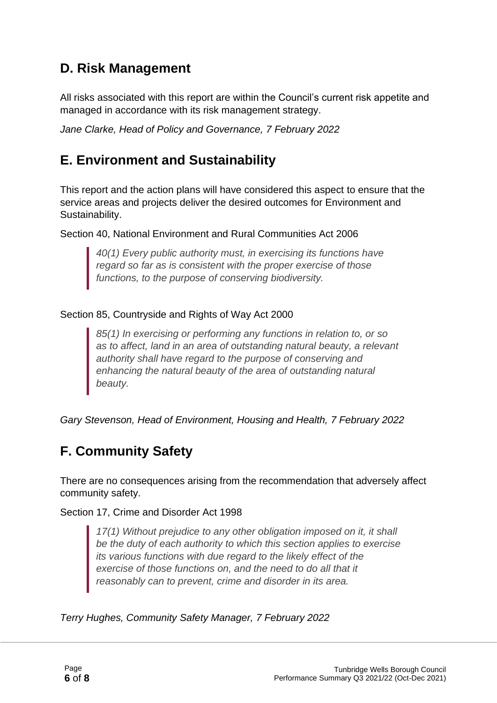#### **D. Risk Management**

All risks associated with this report are within the Council's current risk appetite and managed in accordance with its risk management strategy.

*Jane Clarke, Head of Policy and Governance, 7 February 2022*

#### **E. Environment and Sustainability**

This report and the action plans will have considered this aspect to ensure that the service areas and projects deliver the desired outcomes for Environment and Sustainability.

Section 40, National Environment and Rural Communities Act 2006

*40(1) Every public authority must, in exercising its functions have regard so far as is consistent with the proper exercise of those functions, to the purpose of conserving biodiversity.*

#### Section 85, Countryside and Rights of Way Act 2000

*85(1) In exercising or performing any functions in relation to, or so as to affect, land in an area of outstanding natural beauty, a relevant authority shall have regard to the purpose of conserving and enhancing the natural beauty of the area of outstanding natural beauty.*

*Gary Stevenson, Head of Environment, Housing and Health, 7 February 2022*

#### **F. Community Safety**

There are no consequences arising from the recommendation that adversely affect community safety.

Section 17, Crime and Disorder Act 1998

*17(1) Without prejudice to any other obligation imposed on it, it shall be the duty of each authority to which this section applies to exercise its various functions with due regard to the likely effect of the exercise of those functions on, and the need to do all that it reasonably can to prevent, crime and disorder in its area.*

*Terry Hughes, Community Safety Manager, 7 February 2022*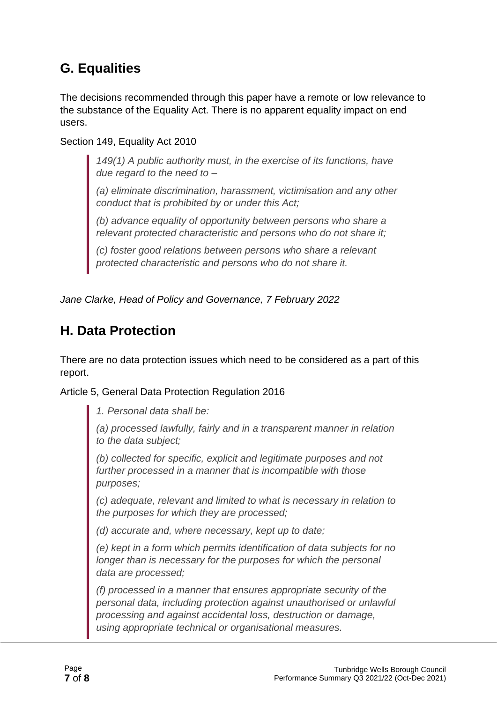#### **G. Equalities**

The decisions recommended through this paper have a remote or low relevance to the substance of the Equality Act. There is no apparent equality impact on end users.

Section 149, Equality Act 2010

*149(1) A public authority must, in the exercise of its functions, have due regard to the need to –*

*(a) eliminate discrimination, harassment, victimisation and any other conduct that is prohibited by or under this Act;*

*(b) advance equality of opportunity between persons who share a relevant protected characteristic and persons who do not share it;*

*(c) foster good relations between persons who share a relevant protected characteristic and persons who do not share it.*

*Jane Clarke, Head of Policy and Governance, 7 February 2022*

#### **H. Data Protection**

There are no data protection issues which need to be considered as a part of this report.

Article 5, General Data Protection Regulation 2016

*1. Personal data shall be:*

*(a) processed lawfully, fairly and in a transparent manner in relation to the data subject;*

*(b) collected for specific, explicit and legitimate purposes and not further processed in a manner that is incompatible with those purposes;*

*(c) adequate, relevant and limited to what is necessary in relation to the purposes for which they are processed;*

*(d) accurate and, where necessary, kept up to date;*

*(e) kept in a form which permits identification of data subjects for no longer than is necessary for the purposes for which the personal data are processed;*

*(f) processed in a manner that ensures appropriate security of the personal data, including protection against unauthorised or unlawful processing and against accidental loss, destruction or damage, using appropriate technical or organisational measures.*